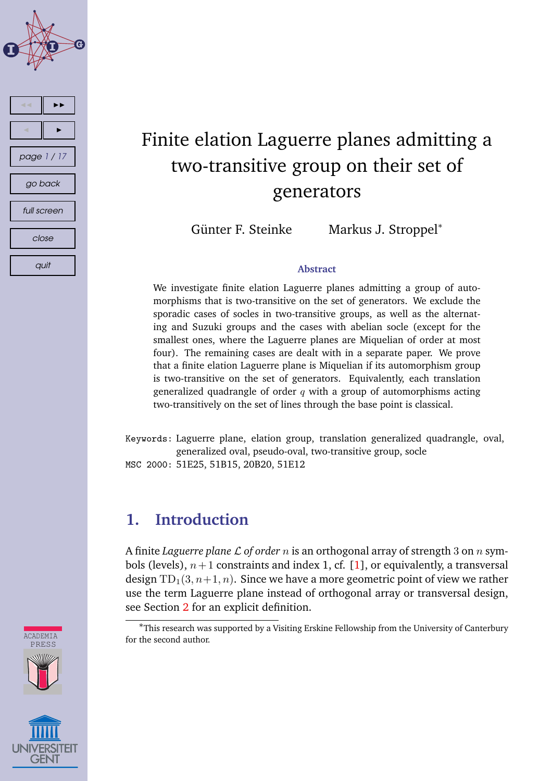

# Finite elation Laguerre planes admitting a two-transitive group on their set of generators

Günter F. Steinke Markus J. Stroppel<sup>∗</sup>

#### **Abstract**

We investigate finite elation Laguerre planes admitting a group of automorphisms that is two-transitive on the set of generators. We exclude the sporadic cases of socles in two-transitive groups, as well as the alternating and Suzuki groups and the cases with abelian socle (except for the smallest ones, where the Laguerre planes are Miquelian of order at most four). The remaining cases are dealt with in a separate paper. We prove that a finite elation Laguerre plane is Miquelian if its automorphism group is two-transitive on the set of generators. Equivalently, each translation generalized quadrangle of order  $q$  with a group of automorphisms acting two-transitively on the set of lines through the base point is classical.

Keywords: Laguerre plane, elation group, translation generalized quadrangle, oval, generalized oval, pseudo-oval, two-transitive group, socle MSC 2000: 51E25, 51B15, 20B20, 51E12

# **1. Introduction**

A finite *Laguerre plane* L *of order* n is an orthogonal array of strength 3 on n symbols (levels),  $n+1$  constraints and index 1, cf. [\[1\]](#page-13-0), or equivalently, a transversal design  $TD_1(3, n+1, n)$ . Since we have a more geometric point of view we rather use the term Laguerre plane instead of orthogonal array or transversal design, see Section [2](#page-2-0) for an explicit definition.





<sup>∗</sup>This research was supported by a Visiting Erskine Fellowship from the University of Canterbury for the second author.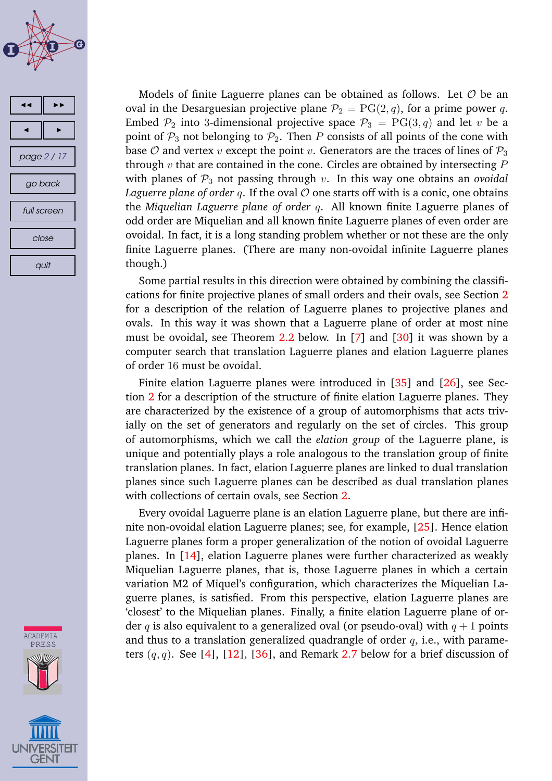



**ACADEMIA** PRESS **GEN1** 

Models of finite Laguerre planes can be obtained as follows. Let  $O$  be an oval in the Desarguesian projective plane  $P_2 = PG(2, q)$ , for a prime power q. Embed  $\mathcal{P}_2$  into 3-dimensional projective space  $\mathcal{P}_3 = PG(3, q)$  and let v be a point of  $P_3$  not belonging to  $P_2$ . Then P consists of all points of the cone with base O and vertex v except the point v. Generators are the traces of lines of  $P_3$ through  $v$  that are contained in the cone. Circles are obtained by intersecting  $P$ with planes of  $P_3$  not passing through  $v$ . In this way one obtains an *ovoidal Laguerre plane of order q.* If the oval  $\mathcal O$  one starts off with is a conic, one obtains the *Miquelian Laguerre plane of order* q. All known finite Laguerre planes of odd order are Miquelian and all known finite Laguerre planes of even order are ovoidal. In fact, it is a long standing problem whether or not these are the only finite Laguerre planes. (There are many non-ovoidal infinite Laguerre planes though.)

Some partial results in this direction were obtained by combining the classifications for finite projective planes of small orders and their ovals, see Section [2](#page-2-0) for a description of the relation of Laguerre planes to projective planes and ovals. In this way it was shown that a Laguerre plane of order at most nine must be ovoidal, see Theorem [2.2](#page-3-0) below. In [\[7\]](#page-14-0) and [\[30\]](#page-15-0) it was shown by a computer search that translation Laguerre planes and elation Laguerre planes of order 16 must be ovoidal.

Finite elation Laguerre planes were introduced in [\[35\]](#page-16-0) and [\[26\]](#page-15-0), see Section [2](#page-2-0) for a description of the structure of finite elation Laguerre planes. They are characterized by the existence of a group of automorphisms that acts trivially on the set of generators and regularly on the set of circles. This group of automorphisms, which we call the *elation group* of the Laguerre plane, is unique and potentially plays a role analogous to the translation group of finite translation planes. In fact, elation Laguerre planes are linked to dual translation planes since such Laguerre planes can be described as dual translation planes with collections of certain ovals, see Section [2.](#page-2-0)

Every ovoidal Laguerre plane is an elation Laguerre plane, but there are infinite non-ovoidal elation Laguerre planes; see, for example, [\[25\]](#page-15-0). Hence elation Laguerre planes form a proper generalization of the notion of ovoidal Laguerre planes. In [\[14\]](#page-14-0), elation Laguerre planes were further characterized as weakly Miquelian Laguerre planes, that is, those Laguerre planes in which a certain variation M2 of Miquel's configuration, which characterizes the Miquelian Laguerre planes, is satisfied. From this perspective, elation Laguerre planes are 'closest' to the Miquelian planes. Finally, a finite elation Laguerre plane of order q is also equivalent to a generalized oval (or pseudo-oval) with  $q + 1$  points and thus to a translation generalized quadrangle of order  $q$ , i.e., with parameters  $(q, q)$ . See [\[4\]](#page-13-0), [\[12\]](#page-14-0), [\[36\]](#page-16-0), and Remark [2.7](#page-5-0) below for a brief discussion of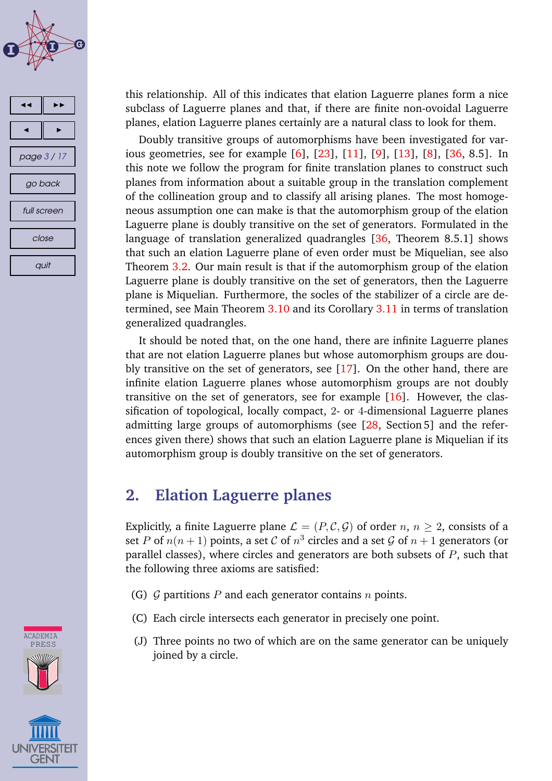<span id="page-2-0"></span>



this relationship. All of this indicates that elation Laguerre planes form a nice subclass of Laguerre planes and that, if there are finite non-ovoidal Laguerre planes, elation Laguerre planes certainly are a natural class to look for them.

Doubly transitive groups of automorphisms have been investigated for various geometries, see for example [\[6\]](#page-14-0), [\[23\]](#page-15-0), [\[11\]](#page-14-0), [\[9\]](#page-14-0), [\[13\]](#page-14-0), [\[8\]](#page-14-0), [\[36,](#page-16-0) 8.5]. In this note we follow the program for finite translation planes to construct such planes from information about a suitable group in the translation complement of the collineation group and to classify all arising planes. The most homogeneous assumption one can make is that the automorphism group of the elation Laguerre plane is doubly transitive on the set of generators. Formulated in the language of translation generalized quadrangles [\[36,](#page-16-0) Theorem 8.5.1] shows that such an elation Laguerre plane of even order must be Miquelian, see also Theorem [3.2.](#page-6-0) Our main result is that if the automorphism group of the elation Laguerre plane is doubly transitive on the set of generators, then the Laguerre plane is Miquelian. Furthermore, the socles of the stabilizer of a circle are determined, see Main Theorem [3.10](#page-12-0) and its Corollary [3.11](#page-13-0) in terms of translation generalized quadrangles.

It should be noted that, on the one hand, there are infinite Laguerre planes that are not elation Laguerre planes but whose automorphism groups are doubly transitive on the set of generators, see [\[17\]](#page-14-0). On the other hand, there are infinite elation Laguerre planes whose automorphism groups are not doubly transitive on the set of generators, see for example  $[16]$ . However, the classification of topological, locally compact, 2- or 4-dimensional Laguerre planes admitting large groups of automorphisms (see [\[28,](#page-15-0) Section 5] and the references given there) shows that such an elation Laguerre plane is Miquelian if its automorphism group is doubly transitive on the set of generators.

## **2. Elation Laguerre planes**

Explicitly, a finite Laguerre plane  $\mathcal{L} = (P, \mathcal{C}, \mathcal{G})$  of order  $n, n \geq 2$ , consists of a set P of  $n(n+1)$  points, a set C of  $n^3$  circles and a set G of  $n+1$  generators (or parallel classes), where circles and generators are both subsets of  $P$ , such that the following three axioms are satisfied:

- (G)  $\mathcal G$  partitions  $P$  and each generator contains  $n$  points.
- (C) Each circle intersects each generator in precisely one point.
- (J) Three points no two of which are on the same generator can be uniquely joined by a circle.



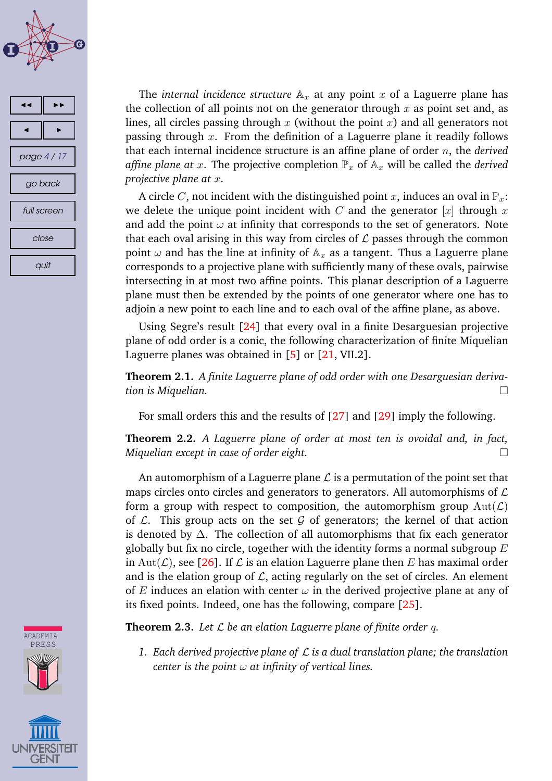<span id="page-3-0"></span>





A circle C, not incident with the distinguished point x, induces an oval in  $\mathbb{P}_x$ : we delete the unique point incident with  $C$  and the generator  $[x]$  through  $x$ and add the point  $\omega$  at infinity that corresponds to the set of generators. Note that each oval arising in this way from circles of  $\mathcal L$  passes through the common point  $\omega$  and has the line at infinity of  $A_x$  as a tangent. Thus a Laguerre plane corresponds to a projective plane with sufficiently many of these ovals, pairwise intersecting in at most two affine points. This planar description of a Laguerre plane must then be extended by the points of one generator where one has to adjoin a new point to each line and to each oval of the affine plane, as above.

Using Segre's result [\[24\]](#page-15-0) that every oval in a finite Desarguesian projective plane of odd order is a conic, the following characterization of finite Miquelian Laguerre planes was obtained in [\[5\]](#page-13-0) or [\[21,](#page-15-0) VII.2].

**Theorem 2.1.** *A finite Laguerre plane of odd order with one Desarguesian derivation is Miquelian.*

For small orders this and the results of [\[27\]](#page-15-0) and [\[29\]](#page-15-0) imply the following.

**Theorem 2.2.** *A Laguerre plane of order at most ten is ovoidal and, in fact, Miquelian except in case of order eight.*

An automorphism of a Laguerre plane  $\mathcal L$  is a permutation of the point set that maps circles onto circles and generators to generators. All automorphisms of  $\mathcal L$ form a group with respect to composition, the automorphism group  $Aut(\mathcal{L})$ of  $\mathcal{L}$ . This group acts on the set  $\mathcal G$  of generators; the kernel of that action is denoted by ∆. The collection of all automorphisms that fix each generator globally but fix no circle, together with the identity forms a normal subgroup  $E$ in Aut( $\mathcal{L}$ ), see [\[26\]](#page-15-0). If  $\mathcal L$  is an elation Laguerre plane then E has maximal order and is the elation group of  $\mathcal{L}$ , acting regularly on the set of circles. An element of E induces an elation with center  $\omega$  in the derived projective plane at any of its fixed points. Indeed, one has the following, compare [\[25\]](#page-15-0).

**Theorem 2.3.** Let  $\mathcal{L}$  be an elation Laguerre plane of finite order q.

*1. Each derived projective plane of* L *is a dual translation plane; the translation center is the point* ω *at infinity of vertical lines.*



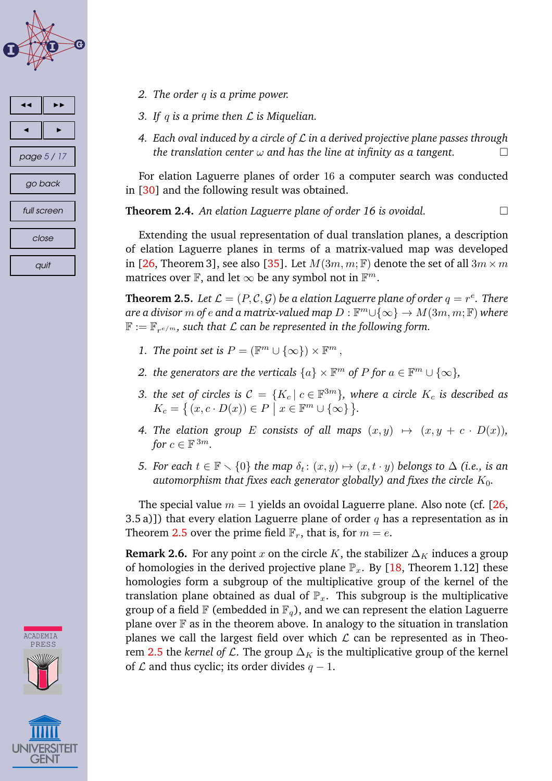<span id="page-4-0"></span>



**ACADEMIA** PRESS

- *2. The order* q *is a prime power.*
- *3. If* q *is a prime then* L *is Miquelian.*
- *4. Each oval induced by a circle of* L *in a derived projective plane passes through the translation center* ω *and has the line at infinity as a tangent.*

For elation Laguerre planes of order 16 a computer search was conducted in [\[30\]](#page-15-0) and the following result was obtained.

**Theorem 2.4.** *An elation Laguerre plane of order 16 is ovoidal.*

Extending the usual representation of dual translation planes, a description of elation Laguerre planes in terms of a matrix-valued map was developed in [\[26,](#page-15-0) Theorem 3], see also [\[35\]](#page-16-0). Let  $M(3m, m; \mathbb{F})$  denote the set of all  $3m \times m$ matrices over  $\mathbb F,$  and let  $\infty$  be any symbol not in  $\mathbb F^m.$ 

**Theorem 2.5.** Let  $\mathcal{L} = (P, \mathcal{C}, \mathcal{G})$  be a elation Laguerre plane of order  $q = r^e$ . There  $\mathit{are}$  a divisor  $m$  of  $e$  and a matrix-valued map  $D : \mathbb{F}^m \cup \{\infty\} \to M(3m, m; \mathbb{F})$  where  $\mathbb{F}:=\mathbb{F}_{r^{e/m}}$ , such that  $\mathcal L$  can be represented in the following form.

- *1. The point set is*  $P = (\mathbb{F}^m \cup \{\infty\}) \times \mathbb{F}^m$ ,
- 2. the generators are the verticals  $\{a\} \times \mathbb{F}^m$  of P for  $a \in \mathbb{F}^m \cup \{\infty\}$ ,
- *3. the set of circles is*  $C = \{K_c | c \in \mathbb{F}^{3m}\}$ *, where a circle*  $K_c$  *is described as*  $K_c = \left\{ (x, c \cdot D(x)) \in P \mid x \in \mathbb{F}^m \cup \{\infty\} \right\}.$
- 4. The elation group E consists of all maps  $(x, y) \mapsto (x, y + c \cdot D(x))$ , for  $c \in \mathbb{F}^{3m}$ .
- *5. For each*  $t \in \mathbb{F} \setminus \{0\}$  *the map*  $\delta_t : (x, y) \mapsto (x, t \cdot y)$  *belongs to*  $\Delta$  *(i.e., is an automorphism that fixes each generator globally) and fixes the circle*  $K_0$ .

The special value  $m = 1$  yields an ovoidal Laguerre plane. Also note (cf. [\[26,](#page-15-0) 3.5 a)]) that every elation Laguerre plane of order q has a representation as in Theorem 2.5 over the prime field  $\mathbb{F}_r$ , that is, for  $m = e$ .

**Remark 2.6.** For any point x on the circle K, the stabilizer  $\Delta_K$  induces a group of homologies in the derived projective plane  $\mathbb{P}_x$ . By [\[18,](#page-15-0) Theorem 1.12] these homologies form a subgroup of the multiplicative group of the kernel of the translation plane obtained as dual of  $\mathbb{P}_x$ . This subgroup is the multiplicative group of a field  $\mathbb F$  (embedded in  $\mathbb F_q$ ), and we can represent the elation Laguerre plane over  $\mathbb F$  as in the theorem above. In analogy to the situation in translation planes we call the largest field over which  $\mathcal L$  can be represented as in Theorem 2.5 the *kernel of L*. The group  $\Delta_K$  is the multiplicative group of the kernel of  $\mathcal L$  and thus cyclic; its order divides  $q-1$ .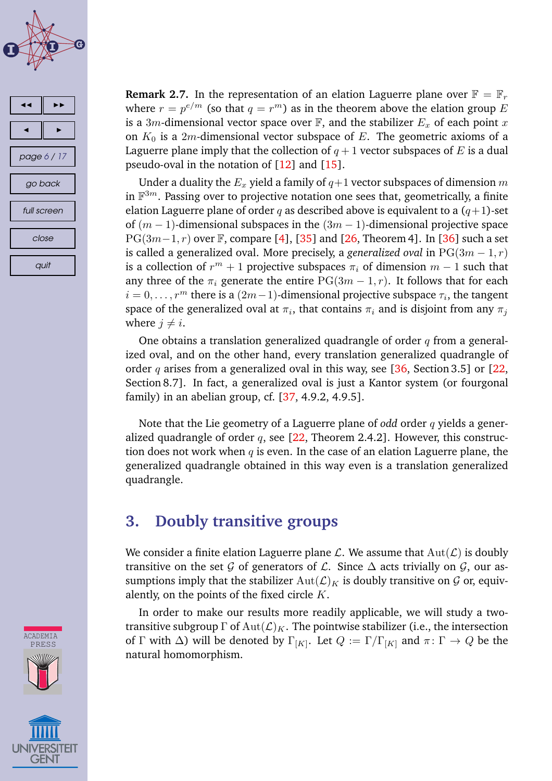<span id="page-5-0"></span>



**Remark 2.7.** In the representation of an elation Laguerre plane over  $\mathbb{F} = \mathbb{F}_r$ where  $r = p^{e/m}$  (so that  $q = r^m$ ) as in the theorem above the elation group  $E$ is a 3m-dimensional vector space over  $\mathbb{F}$ , and the stabilizer  $E_x$  of each point x on  $K_0$  is a 2m-dimensional vector subspace of E. The geometric axioms of a Laguerre plane imply that the collection of  $q + 1$  vector subspaces of E is a dual pseudo-oval in the notation of  $[12]$  and  $[15]$ .

Under a duality the  $E_x$  yield a family of  $q+1$  vector subspaces of dimension m in  $\mathbb{F}^{3m}$ . Passing over to projective notation one sees that, geometrically, a finite elation Laguerre plane of order q as described above is equivalent to a  $(q+1)$ -set of  $(m-1)$ -dimensional subspaces in the  $(3m-1)$ -dimensional projective space  $PG(3m-1, r)$  over F, compare [\[4\]](#page-13-0), [\[35\]](#page-16-0) and [\[26,](#page-15-0) Theorem 4]. In [\[36\]](#page-16-0) such a set is called a generalized oval. More precisely, a *generalized oval* in  $PG(3m-1, r)$ is a collection of  $r^m+1$  projective subspaces  $\pi_i$  of dimension  $m-1$  such that any three of the  $\pi_i$  generate the entire PG(3m – 1, r). It follows that for each  $i = 0, \ldots, r^m$  there is a  $(2m-1)$ -dimensional projective subspace  $\tau_i$ , the tangent space of the generalized oval at  $\pi_i,$  that contains  $\pi_i$  and is disjoint from any  $\pi_j$ where  $j \neq i$ .

One obtains a translation generalized quadrangle of order  $q$  from a generalized oval, and on the other hand, every translation generalized quadrangle of order q arises from a generalized oval in this way, see [\[36,](#page-16-0) Section 3.5] or [\[22,](#page-15-0) Section 8.7]. In fact, a generalized oval is just a Kantor system (or fourgonal family) in an abelian group, cf.  $[37, 4.9.2, 4.9.5]$  $[37, 4.9.2, 4.9.5]$ .

Note that the Lie geometry of a Laguerre plane of *odd* order q yields a generalized quadrangle of order  $q$ , see [\[22,](#page-15-0) Theorem 2.4.2]. However, this construction does not work when  $q$  is even. In the case of an elation Laguerre plane, the generalized quadrangle obtained in this way even is a translation generalized quadrangle.

## **3. Doubly transitive groups**

We consider a finite elation Laguerre plane  $\mathcal{L}$ . We assume that  $Aut(\mathcal{L})$  is doubly transitive on the set G of generators of  $\mathcal{L}$ . Since  $\Delta$  acts trivially on G, our assumptions imply that the stabilizer  $Aut(\mathcal{L})_K$  is doubly transitive on  $\mathcal G$  or, equivalently, on the points of the fixed circle  $K$ .

In order to make our results more readily applicable, we will study a twotransitive subgroup  $\Gamma$  of  $\text{Aut}(\mathcal{L})_K$ . The pointwise stabilizer (i.e., the intersection of  $\Gamma$  with  $\Delta$ ) will be denoted by  $\Gamma_{[K]}.$  Let  $Q:=\Gamma/\Gamma_{[K]}$  and  $\pi\colon \Gamma\to Q$  be the natural homomorphism.

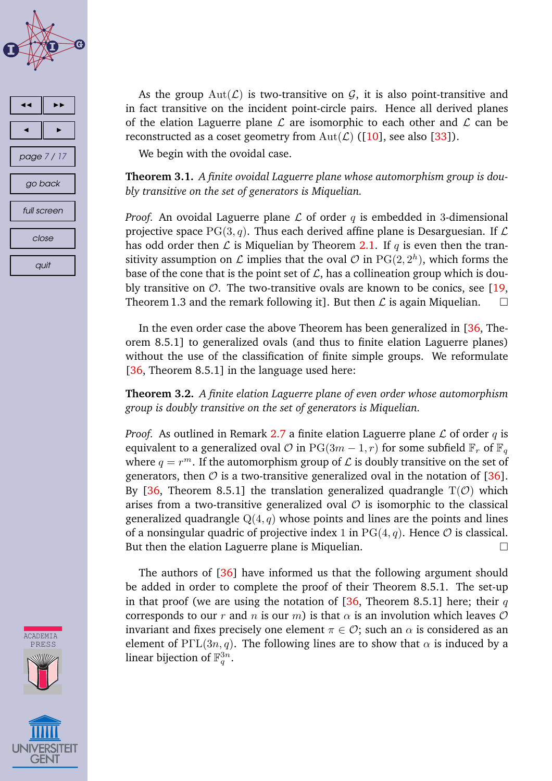<span id="page-6-0"></span>





As the group  $Aut(\mathcal{L})$  is two-transitive on  $\mathcal{G}$ , it is also point-transitive and in fact transitive on the incident point-circle pairs. Hence all derived planes of the elation Laguerre plane  $\mathcal L$  are isomorphic to each other and  $\mathcal L$  can be reconstructed as a coset geometry from  $Aut(\mathcal{L})$  ([\[10\]](#page-14-0), see also [\[33\]](#page-16-0)).

We begin with the ovoidal case.

**Theorem 3.1.** *A finite ovoidal Laguerre plane whose automorphism group is doubly transitive on the set of generators is Miquelian.*

*Proof.* An ovoidal Laguerre plane  $\mathcal L$  of order q is embedded in 3-dimensional projective space  $PG(3, q)$ . Thus each derived affine plane is Desarguesian. If  $\mathcal L$ has odd order then  $\mathcal L$  is Miquelian by Theorem [2.1.](#page-3-0) If q is even then the transitivity assumption on  ${\mathcal L}$  implies that the oval  ${\mathcal O}$  in  $\mathrm{PG}(2,2^h),$  which forms the base of the cone that is the point set of  $\mathcal{L}$ , has a collineation group which is doubly transitive on  $\mathcal{O}$ . The two-transitive ovals are known to be conics, see [\[19,](#page-15-0) Theorem 1.3 and the remark following it]. But then  $\mathcal L$  is again Miquelian.  $\Box$ 

In the even order case the above Theorem has been generalized in [\[36,](#page-16-0) Theorem 8.5.1] to generalized ovals (and thus to finite elation Laguerre planes) without the use of the classification of finite simple groups. We reformulate [\[36,](#page-16-0) Theorem 8.5.1] in the language used here:

**Theorem 3.2.** *A finite elation Laguerre plane of even order whose automorphism group is doubly transitive on the set of generators is Miquelian.*

*Proof.* As outlined in Remark [2.7](#page-5-0) a finite elation Laguerre plane  $\mathcal L$  of order q is equivalent to a generalized oval  $\mathcal O$  in PG(3m – 1, r) for some subfield  $\mathbb F_r$  of  $\mathbb F_q$ where  $q = r^m$ . If the automorphism group of  ${\cal L}$  is doubly transitive on the set of generators, then  $\mathcal O$  is a two-transitive generalized oval in the notation of [\[36\]](#page-16-0). By [\[36,](#page-16-0) Theorem 8.5.1] the translation generalized quadrangle  $T(\mathcal{O})$  which arises from a two-transitive generalized oval  $\mathcal O$  is isomorphic to the classical generalized quadrangle  $Q(4, q)$  whose points and lines are the points and lines of a nonsingular quadric of projective index 1 in  $PG(4, q)$ . Hence  $\mathcal O$  is classical. But then the elation Laguerre plane is Miquelian.

The authors of [\[36\]](#page-16-0) have informed us that the following argument should be added in order to complete the proof of their Theorem 8.5.1. The set-up in that proof (we are using the notation of  $[36,$  Theorem 8.5.1] here; their q corresponds to our r and n is our m) is that  $\alpha$  is an involution which leaves  $\mathcal O$ invariant and fixes precisely one element  $\pi \in \mathcal{O}$ ; such an  $\alpha$  is considered as an element of PΓL(3n, q). The following lines are to show that  $\alpha$  is induced by a linear bijection of  $\mathbb{F}_q^{3n}$ .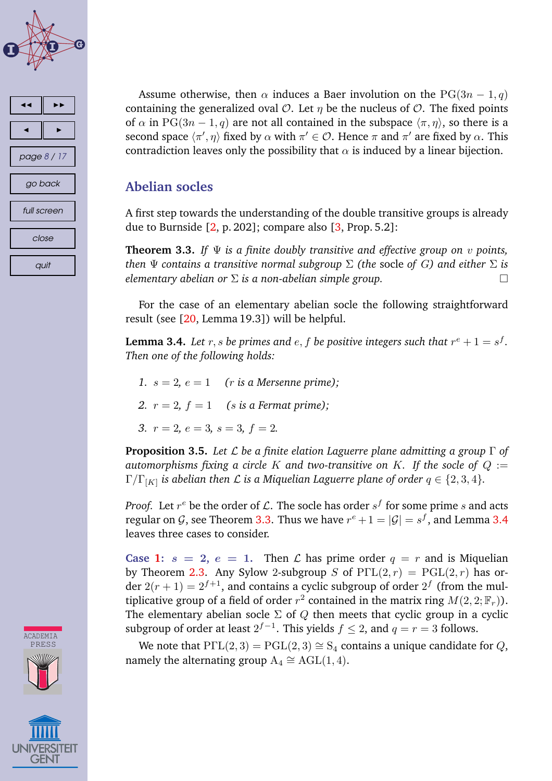<span id="page-7-0"></span>



Assume otherwise, then  $\alpha$  induces a Baer involution on the PG(3n – 1, q) containing the generalized oval  $\mathcal{O}$ . Let  $\eta$  be the nucleus of  $\mathcal{O}$ . The fixed points of  $\alpha$  in PG(3n – 1, q) are not all contained in the subspace  $\langle \pi, \eta \rangle$ , so there is a second space  $\langle \pi',\eta\rangle$  fixed by  $\alpha$  with  $\pi'\in\mathcal{O}$ . Hence  $\pi$  and  $\pi'$  are fixed by  $\alpha$ . This contradiction leaves only the possibility that  $\alpha$  is induced by a linear bijection.

#### **Abelian socles**

A first step towards the understanding of the double transitive groups is already due to Burnside  $[2, p. 202]$  $[2, p. 202]$ ; compare also  $[3, Prop. 5.2]$  $[3, Prop. 5.2]$ :

**Theorem 3.3.** *If* Ψ *is a finite doubly transitive and effective group on* v *points, then*  $\Psi$  *contains a transitive normal subgroup*  $\Sigma$  *(the socle of G) and either*  $\Sigma$  *is elementary abelian or* Σ *is a non-abelian simple group.*

For the case of an elementary abelian socle the following straightforward result (see [\[20,](#page-15-0) Lemma 19.3]) will be helpful.

**Lemma 3.4.** Let  $r, s$  be primes and  $e, f$  be positive integers such that  $r^e + 1 = s^f$ . *Then one of the following holds:*

- 1.  $s = 2$ ,  $e = 1$  (*r* is a Mersenne prime);
- 2.  $r = 2$ ,  $f = 1$  (*s* is a Fermat prime);
- 3.  $r = 2, e = 3, s = 3, f = 2.$

**Proposition 3.5.** *Let* L *be a finite elation Laguerre plane admitting a group* Γ *of automorphisms fixing a circle K and two-transitive on K. If the socle of*  $Q :=$  $\Gamma/\Gamma_{[K]}$  is abelian then  ${\cal L}$  is a Miquelian Laguerre plane of order  $q\in\{2,3,4\}.$ 

*Proof.* Let  $r^e$  be the order of  ${\mathcal L}.$  The socle has order  $s^f$  for some prime  $s$  and acts regular on  $\mathcal G$ , see Theorem 3.3. Thus we have  $r^e+1=|\mathcal G|=s^f,$  and Lemma 3.4 leaves three cases to consider.

**Case 1:**  $s = 2$ ,  $e = 1$ . Then L has prime order  $q = r$  and is Miquelian by Theorem [2.3.](#page-3-0) Any Sylow 2-subgroup S of  $P\Gamma\Gamma(2, r) = PGL(2, r)$  has order  $2(r + 1) = 2^{f+1}$ , and contains a cyclic subgroup of order  $2^f$  (from the multiplicative group of a field of order  $r^2$  contained in the matrix ring  $M(2,2;{\mathbb F}_r)).$ The elementary abelian socle  $\Sigma$  of  $Q$  then meets that cyclic group in a cyclic subgroup of order at least  $2^{f-1}$ . This yields  $f \le 2$ , and  $q = r = 3$  follows.

We note that  $P\Gamma L(2,3) = PGL(2,3) \cong S_4$  contains a unique candidate for Q, namely the alternating group  $A_4 \cong AGL(1,4)$ .



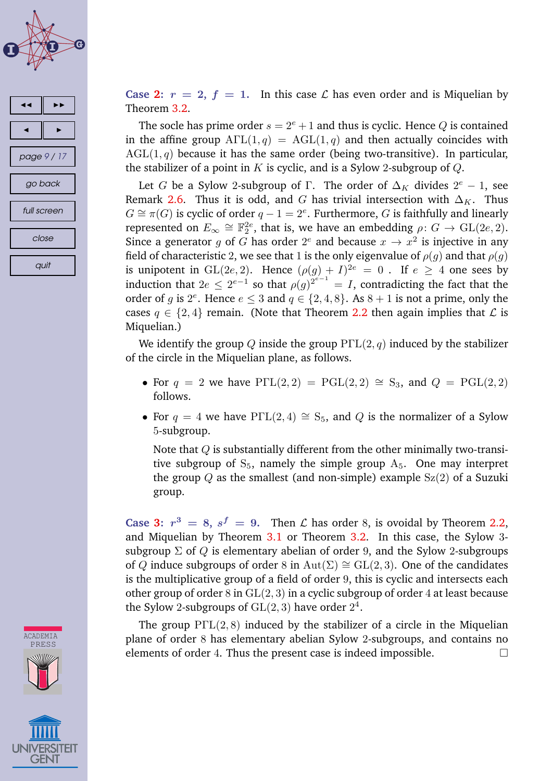





**Case [2:](#page-7-0)**  $r = 2$ ,  $f = 1$ . In this case L has even order and is Miquelian by Theorem [3.2.](#page-6-0)

The socle has prime order  $s = 2^e + 1$  and thus is cyclic. Hence Q is contained in the affine group  $\text{A}\Gamma\text{L}(1,q) = \text{AGL}(1,q)$  and then actually coincides with  $AGL(1,q)$  because it has the same order (being two-transitive). In particular, the stabilizer of a point in K is cyclic, and is a Sylow 2-subgroup of  $Q$ .

Let G be a Sylow 2-subgroup of  $\Gamma$ . The order of  $\Delta_K$  divides  $2^e - 1$ , see Remark [2.6.](#page-4-0) Thus it is odd, and G has trivial intersection with  $\Delta_K$ . Thus  $G \cong \pi(G)$  is cyclic of order  $q - 1 = 2^e$ . Furthermore, G is faithfully and linearly represented on  $E_{\infty}\cong\mathbb{F}_2^{2e}$ , that is, we have an embedding  $\rho\colon G\to\mathrm{GL}(2e,2).$ Since a generator g of G has order  $2^e$  and because  $x \to x^2$  is injective in any field of characteristic 2, we see that 1 is the only eigenvalue of  $\rho(g)$  and that  $\rho(g)$ is unipotent in  $GL(2e, 2)$ . Hence  $(\rho(g) + I)^{2e} = 0$ . If  $e \geq 4$  one sees by induction that  $2e \leq 2^{e-1}$  so that  $\rho(g)^{2^{e-1}} = I$ , contradicting the fact that the order of g is  $2^e$ . Hence  $e \leq 3$  and  $q \in \{2, 4, 8\}$ . As  $8 + 1$  is not a prime, only the cases  $q \in \{2, 4\}$  remain. (Note that Theorem [2.2](#page-3-0) then again implies that  $\mathcal L$  is Miquelian.)

We identify the group Q inside the group  $P\Gamma L(2, q)$  induced by the stabilizer of the circle in the Miquelian plane, as follows.

- For  $q = 2$  we have  $P\Gamma L(2, 2) = PGL(2, 2) \cong S_3$ , and  $Q = PGL(2, 2)$ follows.
- For  $q = 4$  we have P $\Gamma L(2, 4) \cong S_5$ , and Q is the normalizer of a Sylow 5-subgroup.

Note that  $Q$  is substantially different from the other minimally two-transitive subgroup of  $S_5$ , namely the simple group  $A_5$ . One may interpret the group Q as the smallest (and non-simple) example  $Sz(2)$  of a Suzuki group.

**Case [3:](#page-7-0)**  $r^3 = 8$ ,  $s^f = 9$ . Then *L* has order 8, is ovoidal by Theorem [2.2,](#page-3-0) and Miquelian by Theorem [3.1](#page-6-0) or Theorem [3.2.](#page-6-0) In this case, the Sylow 3 subgroup  $\Sigma$  of Q is elementary abelian of order 9, and the Sylow 2-subgroups of Q induce subgroups of order 8 in Aut( $\Sigma$ ) ≅ GL(2,3). One of the candidates is the multiplicative group of a field of order 9, this is cyclic and intersects each other group of order 8 in  $GL(2, 3)$  in a cyclic subgroup of order 4 at least because the Sylow 2-subgroups of  $\operatorname{GL}(2,3)$  have order  $2^4$ .

The group  $P\Gamma L(2,8)$  induced by the stabilizer of a circle in the Miquelian plane of order 8 has elementary abelian Sylow 2-subgroups, and contains no elements of order 4. Thus the present case is indeed impossible.  $\Box$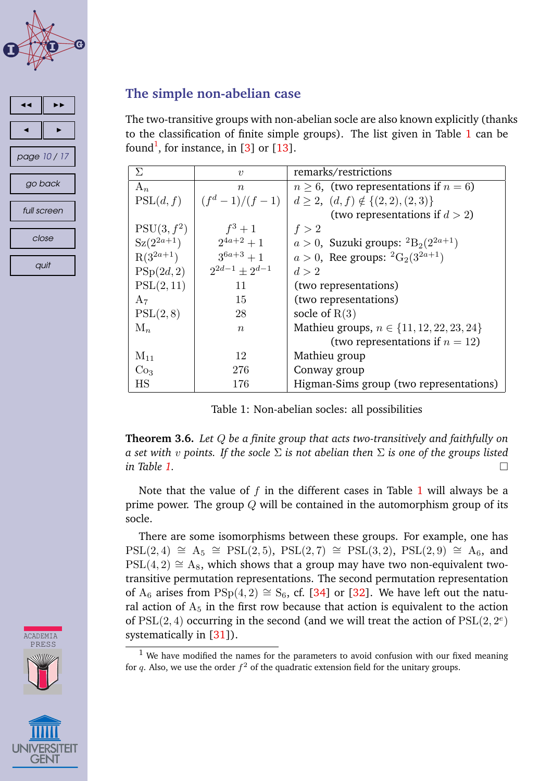<span id="page-9-0"></span>



#### **The simple non-abelian case**

The two-transitive groups with non-abelian socle are also known explicitly (thanks to the classification of finite simple groups). The list given in Table 1 can be found<sup>1</sup>, for instance, in [\[3\]](#page-13-0) or [\[13\]](#page-14-0).

| Σ                       | $\boldsymbol{v}$                   | remarks/restrictions                             |  |
|-------------------------|------------------------------------|--------------------------------------------------|--|
| $A_n$                   | $\boldsymbol{n}$                   | $n \geq 6$ , (two representations if $n = 6$ )   |  |
| PSL(d, f)               | $\left( f^d - 1 \right) / (f - 1)$ | $d \geq 2, (d, f) \notin \{(2, 2), (2, 3)\}\$    |  |
|                         |                                    | (two representations if $d > 2$ )                |  |
| PSU(3, f <sup>2</sup> ) | $f^3+1$                            | f > 2                                            |  |
| $Sz(2^{2a+1})$          | $2^{4a+2}+1$                       | $a > 0$ , Suzuki groups: ${}^{2}B_{2}(2^{2a+1})$ |  |
| $R(3^{2a+1})$           | $3^{6a+3}+1$                       | $a > 0$ , Ree groups: ${}^{2}G_{2}(3^{2a+1})$    |  |
| PSp(2d,2)               | $2^{2d-1}+2^{d-1}$                 | d > 2                                            |  |
| PSL(2,11)               | 11                                 | (two representations)                            |  |
| $A_7$                   | 15                                 | (two representations)                            |  |
| PSL(2,8)                | 28                                 | socle of $R(3)$                                  |  |
| $M_n$                   | $\boldsymbol{n}$                   | Mathieu groups, $n \in \{11, 12, 22, 23, 24\}$   |  |
|                         |                                    | (two representations if $n = 12$ )               |  |
| $M_{11}$                | 12                                 | Mathieu group                                    |  |
| Co <sub>3</sub>         | 276                                | Conway group                                     |  |
| $_{\rm HS}$             | 176                                | Higman-Sims group (two representations)          |  |

Table 1: Non-abelian socles: all possibilities

**Theorem 3.6.** *Let* Q *be a finite group that acts two-transitively and faithfully on a set with* v *points. If the socle* Σ *is not abelian then* Σ *is one of the groups listed in Table 1.*

Note that the value of  $f$  in the different cases in Table 1 will always be a prime power. The group  $Q$  will be contained in the automorphism group of its socle.

There are some isomorphisms between these groups. For example, one has  $PSL(2, 4) \cong A_5 \cong PSL(2, 5)$ ,  $PSL(2, 7) \cong PSL(3, 2)$ ,  $PSL(2, 9) \cong A_6$ , and  $PSL(4, 2) \cong A_8$ , which shows that a group may have two non-equivalent twotransitive permutation representations. The second permutation representation of A<sub>6</sub> arises from PSp(4, 2) ≅ S<sub>6</sub>, cf. [\[34\]](#page-16-0) or [\[32\]](#page-16-0). We have left out the natural action of  $A_5$  in the first row because that action is equivalent to the action of  $PSL(2, 4)$  occurring in the second (and we will treat the action of  $PSL(2, 2^e)$ systematically in [\[31\]](#page-16-0)).



**ACADEMIA** 

 $1$  We have modified the names for the parameters to avoid confusion with our fixed meaning for q. Also, we use the order  $f^2$  of the quadratic extension field for the unitary groups.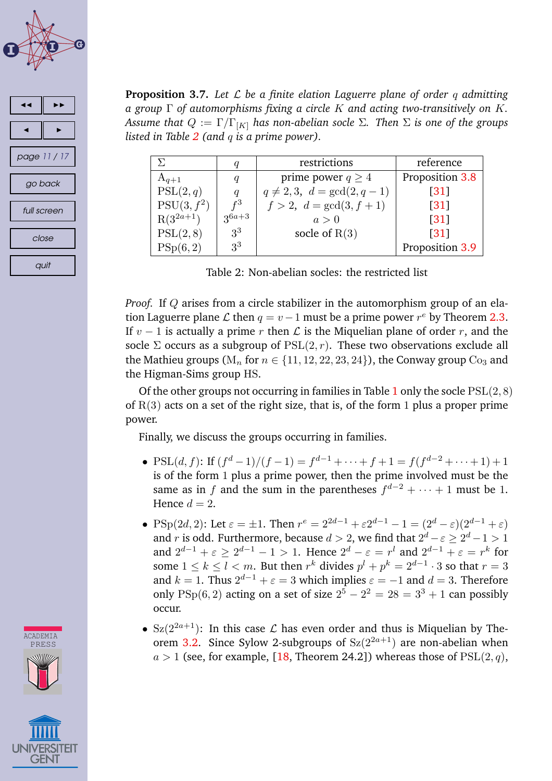<span id="page-10-0"></span>

| ◀            |  |  |
|--------------|--|--|
|              |  |  |
| page 11 / 17 |  |  |
| go back      |  |  |
| full screen  |  |  |
| close        |  |  |
| quit         |  |  |

**Proposition 3.7.** *Let* L *be a finite elation Laguerre plane of order* q *admitting a group* Γ *of automorphisms fixing a circle* K *and acting two-transitively on* K*. Assume that*  $Q := \Gamma/\Gamma_{[K]}$  *has non-abelian socle*  $\Sigma$ *. Then*  $\Sigma$  *is one of the groups listed in Table 2 (and* q *is a prime power).*

| Y.                      | q                | restrictions                   | reference          |
|-------------------------|------------------|--------------------------------|--------------------|
| $A_{q+1}$               | $\boldsymbol{q}$ | prime power $q \geq 4$         | Proposition 3.8    |
| $\mathrm{PSL}(2,q)$     | q                | $q \neq 2,3, d = \gcd(2, q-1)$ | $\lceil 31 \rceil$ |
| PSU(3, f <sup>2</sup> ) | $f^3$            | $f > 2, d = \gcd(3, f + 1)$    | $\lceil 31 \rceil$ |
| $R(3^{2a+1})$           | $3^{6a+3}$       | a>0                            | $\lceil 31 \rceil$ |
| PSL(2,8)                | 3 <sup>3</sup>   | socle of $R(3)$                | $\lceil 31 \rceil$ |
| PSp(6,2)                | 3 <sup>3</sup>   |                                | Proposition 3.9    |

Table 2: Non-abelian socles: the restricted list

*Proof.* If Q arises from a circle stabilizer in the automorphism group of an elation Laguerre plane  $\mathcal L$  then  $q = v - 1$  must be a prime power  $r^e$  by Theorem [2.3.](#page-3-0) If  $v - 1$  is actually a prime r then  $\mathcal L$  is the Miquelian plane of order r, and the socle  $\Sigma$  occurs as a subgroup of  $PSL(2, r)$ . These two observations exclude all the Mathieu groups ( $M_n$  for  $n \in \{11, 12, 22, 23, 24\}$ ), the Conway group  $Co_3$  and the Higman-Sims group HS.

Of the other groups not occurring in families in Table [1](#page-9-0) only the socle  $PSL(2, 8)$ of  $R(3)$  acts on a set of the right size, that is, of the form 1 plus a proper prime power.

Finally, we discuss the groups occurring in families.

- PSL $(d, f)$ : If  $(f<sup>d</sup> 1)/(f 1) = f<sup>d-1</sup> + \cdots + f + 1 = f(f<sup>d-2</sup> + \cdots + 1) + 1$ is of the form 1 plus a prime power, then the prime involved must be the same as in f and the sum in the parentheses  $f^{d-2} + \cdots + 1$  must be 1. Hence  $d = 2$ .
- PSp(2d, 2): Let  $\varepsilon = \pm 1$ . Then  $r^e = 2^{2d-1} + \varepsilon 2^{d-1} 1 = (2^d \varepsilon)(2^{d-1} + \varepsilon)$ and  $r$  is odd. Furthermore, because  $d > 2$ , we find that  $2^d - \varepsilon \ge 2^d - 1 > 1$ and  $2^{d-1} + \varepsilon \ge 2^{d-1} - 1 > 1$ . Hence  $2^d - \varepsilon = r^l$  and  $2^{d-1} + \varepsilon = r^k$  for some  $1 \leq k \leq l < m$ . But then  $r^k$  divides  $p^l + p^k = 2^{d-1} \cdot 3$  so that  $r = 3$ and  $k = 1$ . Thus  $2^{d-1} + \varepsilon = 3$  which implies  $\varepsilon = -1$  and  $d = 3$ . Therefore only  $PSp(6, 2)$  acting on a set of size  $2^5 - 2^2 = 28 = 3^3 + 1$  can possibly occur.
- $Sz(2^{2a+1})$ : In this case  $\mathcal L$  has even order and thus is Miquelian by The-orem [3.2.](#page-6-0) Since Sylow 2-subgroups of  $Sz(2^{2a+1})$  are non-abelian when  $a > 1$  (see, for example, [\[18,](#page-15-0) Theorem 24.2]) whereas those of  $PSL(2, q)$ ,



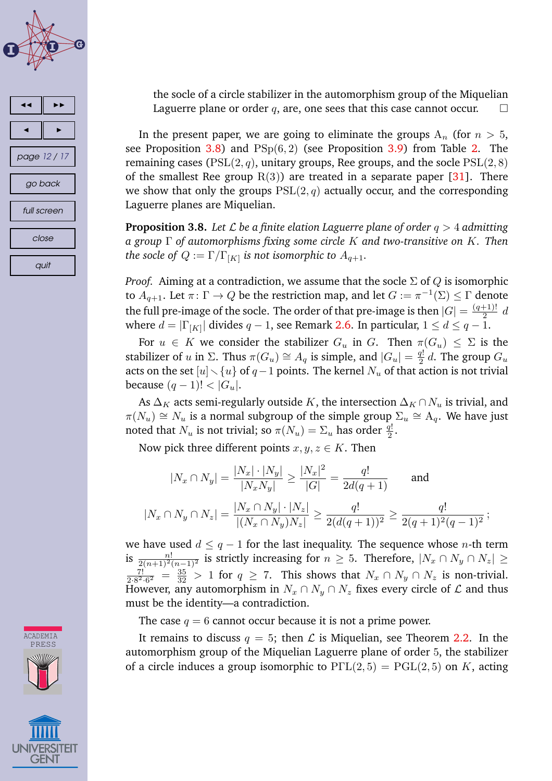<span id="page-11-0"></span>





the socle of a circle stabilizer in the automorphism group of the Miquelian Laguerre plane or order q, are, one sees that this case cannot occur.  $\square$ 

In the present paper, we are going to eliminate the groups  $A_n$  (for  $n > 5$ , see Proposition 3.8) and  $PSp(6,2)$  (see Proposition [3.9\)](#page-12-0) from Table [2.](#page-10-0) The remaining cases ( $PSL(2, q)$ , unitary groups, Ree groups, and the socle  $PSL(2, 8)$ of the smallest Ree group  $R(3)$ ) are treated in a separate paper [\[31\]](#page-16-0). There we show that only the groups  $PSL(2, q)$  actually occur, and the corresponding Laguerre planes are Miquelian.

**Proposition 3.8.** Let  $\mathcal L$  be a finite elation Laguerre plane of order  $q > 4$  admitting *a group* Γ *of automorphisms fixing some circle* K *and two-transitive on* K*. Then* the socle of  $Q := \Gamma / \Gamma_{[K]}$  is not isomorphic to  $A_{q+1}.$ 

*Proof.* Aiming at a contradiction, we assume that the socle  $\Sigma$  of Q is isomorphic to  $\overline{A}_{q+1}.$  Let  $\pi\colon\Gamma\to Q$  be the restriction map, and let  $G:=\pi^{-1}(\Sigma)\leq\Gamma$  denote the full pre-image of the socle. The order of that pre-image is then  $|G| = \frac{(q+1)!}{2}$  $rac{1}{2}$  d where  $d=|\Gamma_{[K]}|$  divides  $q-1$ , see Remark [2.6.](#page-4-0) In particular,  $1\leq d\leq q-1.$ 

For  $u \in K$  we consider the stabilizer  $G_u$  in G. Then  $\pi(G_u) \leq \Sigma$  is the stabilizer of u in  $\Sigma$ . Thus  $\pi(G_u) \cong A_q$  is simple, and  $|G_u| = \frac{q!}{2}$  $\frac{q!}{2}$  d. The group  $G_u$ acts on the set  $[u] \setminus \{u\}$  of  $q-1$  points. The kernel  $N_u$  of that action is not trivial because  $(q-1)! < |G_u|$ .

As  $\Delta_K$  acts semi-regularly outside K, the intersection  $\Delta_K \cap N_u$  is trivial, and  $\pi(N_u) \cong N_u$  is a normal subgroup of the simple group  $\Sigma_u \cong A_q$ . We have just noted that  $N_u$  is not trivial; so  $\pi(N_u) = \Sigma_u$  has order  $\frac{q!}{2}$ .

Now pick three different points  $x, y, z \in K$ . Then

$$
|N_x \cap N_y| = \frac{|N_x| \cdot |N_y|}{|N_x N_y|} \ge \frac{|N_x|^2}{|G|} = \frac{q!}{2d(q+1)} \quad \text{and}
$$
  

$$
|N_x \cap N_y \cap N_z| = \frac{|N_x \cap N_y| \cdot |N_z|}{|(N_x \cap N_y)N_z|} \ge \frac{q!}{2(d(q+1))^2} \ge \frac{q!}{2(q+1)^2(q-1)^2};
$$

we have used  $d \leq q - 1$  for the last inequality. The sequence whose *n*-th term is  $\frac{n!}{2(n+1)^2(n-1)^2}$  is strictly increasing for  $n\geq 5$ . Therefore,  $|N_x\cap N_y\cap N_z|\geq 0$  $\frac{7!}{2 \cdot 8^2 \cdot 6^2} = \frac{35}{32} > 1$  for  $q \ge 7$ . This shows that  $N_x \cap N_y \cap N_z$  is non-trivial. However, any automorphism in  $N_x \cap N_y \cap N_z$  fixes every circle of  $\mathcal L$  and thus must be the identity—a contradiction.

The case  $q = 6$  cannot occur because it is not a prime power.

It remains to discuss  $q = 5$ ; then  $\mathcal L$  is Miquelian, see Theorem [2.2.](#page-3-0) In the automorphism group of the Miquelian Laguerre plane of order 5, the stabilizer of a circle induces a group isomorphic to  $P\Gamma L(2,5) = PGL(2,5)$  on K, acting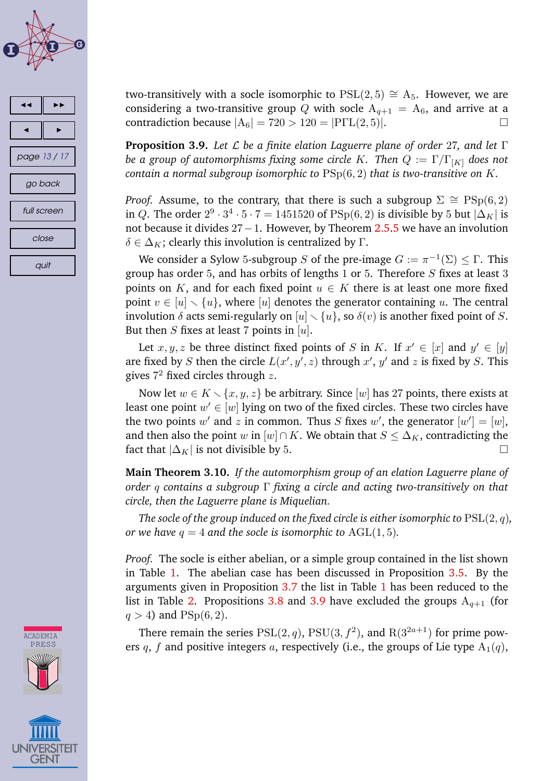<span id="page-12-0"></span>



**ACADEMIA** PRESS

two-transitively with a socle isomorphic to  $PSL(2,5) \cong A_5$ . However, we are considering a two-transitive group Q with socle  $A_{q+1} = A_6$ , and arrive at a contradiction because  $|A_6| = 720 > 120 = |P \Gamma L(2, 5)|$ .

**Proposition 3.9.** *Let* L *be a finite elation Laguerre plane of order* 27*, and let* Γ *be a group of automorphisms fixing some circle K. Then*  $Q := \Gamma/\Gamma_{[K]}$  *does not contain a normal subgroup isomorphic to* PSp(6, 2) *that is two-transitive on* K*.*

*Proof.* Assume, to the contrary, that there is such a subgroup  $\Sigma \cong \text{PSp}(6, 2)$ in  $Q$ . The order  $2^9 \cdot 3^4 \cdot 5 \cdot 7 = 1451520$  of  $\mathrm{PSp}(6,2)$  is divisible by 5 but  $|\Delta_K|$  is not because it divides 27−1. However, by Theorem [2.5.5](#page-4-0) we have an involution  $\delta \in \Delta_K$ ; clearly this involution is centralized by Γ.

We consider a Sylow 5-subgroup S of the pre-image  $G := \pi^{-1}(\Sigma) \leq \Gamma$ . This group has order 5, and has orbits of lengths 1 or 5. Therefore  $S$  fixes at least 3 points on K, and for each fixed point  $u \in K$  there is at least one more fixed point  $v \in [u] \setminus \{u\}$ , where [u] denotes the generator containing u. The central involution  $\delta$  acts semi-regularly on  $[u] \setminus \{u\}$ , so  $\delta(v)$  is another fixed point of S. But then *S* fixes at least 7 points in [u].

Let  $x, y, z$  be three distinct fixed points of S in K. If  $x' \in [x]$  and  $y' \in [y]$ are fixed by S then the circle  $L(x', y', z)$  through  $x', y'$  and z is fixed by S. This gives  $7^2$  fixed circles through  $z$ .

Now let  $w \in K \setminus \{x, y, z\}$  be arbitrary. Since [w] has 27 points, there exists at least one point  $w' \in [w]$  lying on two of the fixed circles. These two circles have the two points  $w'$  and  $z$  in common. Thus  $S$  fixes  $w'$ , the generator  $[w'] = [w]$ , and then also the point w in  $[w] \cap K$ . We obtain that  $S \leq \Delta_K$ , contradicting the fact that  $|\Delta_K|$  is not divisible by 5.

**Main Theorem 3.10.** *If the automorphism group of an elation Laguerre plane of order* q *contains a subgroup* Γ *fixing a circle and acting two-transitively on that circle, then the Laguerre plane is Miquelian.*

*The socle of the group induced on the fixed circle is either isomorphic to*  $PSL(2, q)$ *, or we have*  $q = 4$  *and the socle is isomorphic to*  $AGL(1, 5)$ *.* 

*Proof.* The socle is either abelian, or a simple group contained in the list shown in Table [1.](#page-9-0) The abelian case has been discussed in Proposition [3.5.](#page-7-0) By the arguments given in Proposition [3.7](#page-10-0) the list in Table [1](#page-9-0) has been reduced to the list in Table [2.](#page-10-0) Propositions [3.8](#page-11-0) and 3.9 have excluded the groups  $A_{q+1}$  (for  $q > 4$ ) and  $PSp(6, 2)$ .

There remain the series  $PSL(2,q)$ ,  $PSU(3, f^2)$ , and  $R(3^{2a+1})$  for prime powers q, f and positive integers a, respectively (i.e., the groups of Lie type  $A_1(q)$ ,

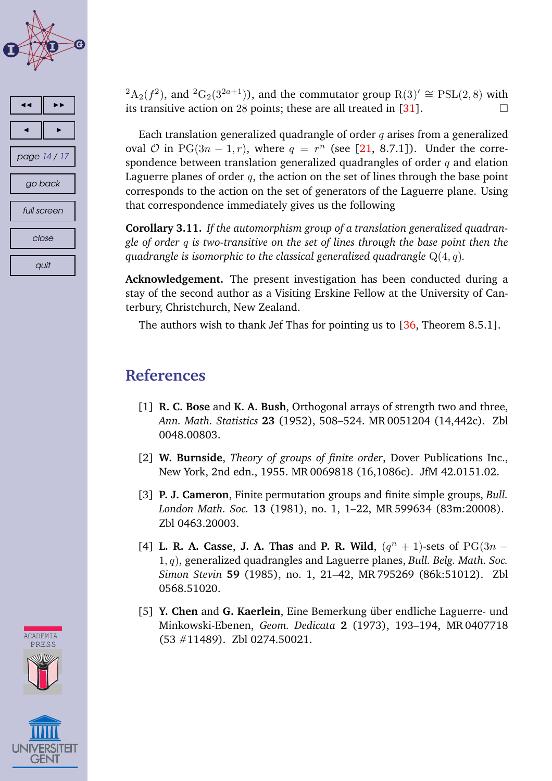<span id="page-13-0"></span>





 ${}^{2}A_{2}(f^{2})$ , and  ${}^{2}G_{2}(3^{2a+1})$ ), and the commutator group  $R(3)' \cong PSL(2,8)$  with its transitive action on 28 points; these are all treated in [\[31\]](#page-16-0).  $\Box$ 

Each translation generalized quadrangle of order  $q$  arises from a generalized oval  $O$  in  $PG(3n-1,r)$ , where  $q = r^n$  (see [\[21,](#page-15-0) 8.7.1]). Under the correspondence between translation generalized quadrangles of order  $q$  and elation Laguerre planes of order  $q$ , the action on the set of lines through the base point corresponds to the action on the set of generators of the Laguerre plane. Using that correspondence immediately gives us the following

**Corollary 3.11.** *If the automorphism group of a translation generalized quadrangle of order* q *is two-transitive on the set of lines through the base point then the quadrangle is isomorphic to the classical generalized quadrangle* Q(4, q)*.*

**Acknowledgement.** The present investigation has been conducted during a stay of the second author as a Visiting Erskine Fellow at the University of Canterbury, Christchurch, New Zealand.

The authors wish to thank Jef Thas for pointing us to [\[36,](#page-16-0) Theorem 8.5.1].

## **References**

- [1] **R. C. Bose** and **K. A. Bush**, Orthogonal arrays of strength two and three, *Ann. Math. Statistics* **23** [\(1952\), 508–524.](http://www.zentralblatt-math.org/NEW/zmath/en/search/?q=an:0048.00803&format=complete) [MR 0051204 \(14,442c\).](http://www.ams.org/mathscinet-getitem?mr=0051204) Zbl 0048.00803.
- [2] **W. Burnside**, *Theory of groups of finite order*, Dover Publications Inc., New York, 2nd edn., 1955. [MR 0069818 \(16,1086c\).](http://www.ams.org/mathscinet-getitem?mr=0069818) [JfM 42.0151.02.](http://www.zentralblatt-math.org/NEW/zmath/en/search/?q=an:42.0151.02)
- [3] **P. J. Cameron**, Finite permutation groups and finite simple groups, *Bull. London Math. Soc.* **13** (1981), no. 1, 1–22, [MR 599634 \(83m:20008\).](http://www.ams.org/mathscinet-getitem?mr=599634) [Zbl 0463.20003.](http://www.zentralblatt-math.org/NEW/zmath/en/search/?q=an:0463.20003&format=complete)
- [4] **L. R. A. Casse, J. A. Thas** and **P. R. Wild**,  $(q^{n} + 1)$ -sets of  $PG(3n 1)$ 1, q), generalized quadrangles and Laguerre planes, *Bull. Belg. Math. Soc. Simon Stevin* **59** [\(1985\), no. 1, 21–42,](http://www.zentralblatt-math.org/NEW/zmath/en/search/?q=an:0568.51020&format=complete) [MR 795269 \(86k:51012\).](http://www.ams.org/mathscinet-getitem?mr=795269) Zbl 0568.51020.
- [5] **Y. Chen** and **G. Kaerlein**, Eine Bemerkung über endliche Laguerre- und Minkowski-Ebenen, *Geom. Dedicata* **2** [\(1973\), 193–194,](http://www.ams.org/mathscinet-getitem?mr=0407718) MR 0407718 (53 #11489). [Zbl 0274.50021.](http://www.zentralblatt-math.org/NEW/zmath/en/search/?q=an:0274.50021&format=complete)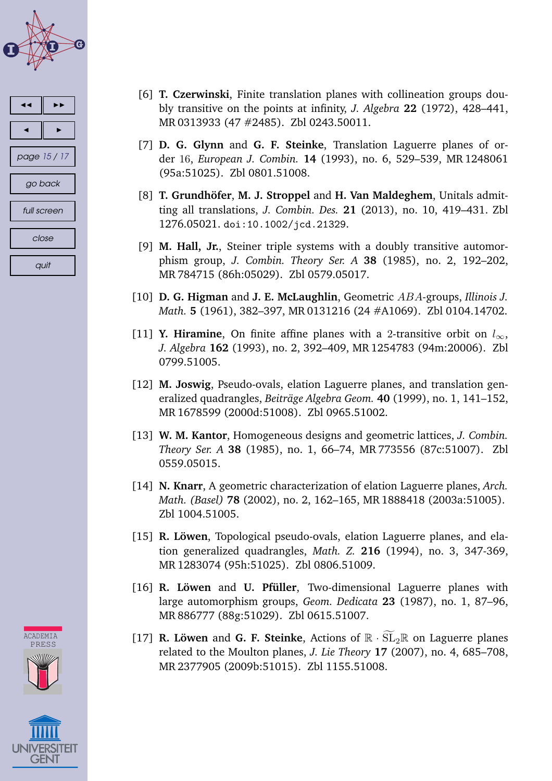<span id="page-14-0"></span>

| ◀            |  |  |
|--------------|--|--|
|              |  |  |
| page 15 / 17 |  |  |
| go back      |  |  |
| full screen  |  |  |
| close        |  |  |
| quit         |  |  |



- [6] **T. Czerwinski**, Finite translation planes with collineation groups doubly transitive on the points at infinity, *J. Algebra* **22** (1972), 428–441, [MR 0313933 \(47 #2485\).](http://www.ams.org/mathscinet-getitem?mr=0313933) [Zbl 0243.50011.](http://www.zentralblatt-math.org/NEW/zmath/en/search/?q=an:0243.50011&format=complete)
- [7] **D. G. Glynn** and **G. F. Steinke**, Translation Laguerre planes of order 16, *European J. Combin.* **14** [\(1993\), no. 6, 529–539,](http://www.ams.org/mathscinet-getitem?mr=1248061) MR 1248061 (95a:51025). [Zbl 0801.51008.](http://www.zentralblatt-math.org/NEW/zmath/en/search/?q=an:0801.51008&format=complete)
- [8] **T. Grundhöfer**, **M. J. Stroppel** and **H. Van Maldeghem**, Unitals admitting all translations, *J. Combin. Des.* **21** [\(2013\), no. 10, 419–431.](http://www.zentralblatt-math.org/NEW/zmath/en/search/?q=an:1276.05021&format=complete) Zbl 1276.05021. [doi:10.1002/jcd.21329](http://dx.doi.org/10.1002/jcd.21329).
- [9] **M. Hall, Jr.**, Steiner triple systems with a doubly transitive automorphism group, *J. Combin. Theory Ser. A* **38** (1985), no. 2, 192–202, [MR 784715 \(86h:05029\).](http://www.ams.org/mathscinet-getitem?mr=784715) [Zbl 0579.05017.](http://www.zentralblatt-math.org/NEW/zmath/en/search/?q=an:0579.05017&format=complete)
- [10] **D. G. Higman** and **J. E. McLaughlin**, Geometric ABA-groups, *Illinois J. Math.* **5** (1961), 382–397, [MR 0131216 \(24 #A1069\).](http://www.ams.org/mathscinet-getitem?mr=0131216) [Zbl 0104.14702.](http://www.zentralblatt-math.org/NEW/zmath/en/search/?q=an:0104.14702&format=complete)
- [11] **Y. Hiramine**, On finite affine planes with a 2-transitive orbit on  $l_{\infty}$ , *J. Algebra* **162** [\(1993\), no. 2, 392–409,](http://www.zentralblatt-math.org/NEW/zmath/en/search/?q=an:0799.51005&format=complete) [MR 1254783 \(94m:20006\).](http://www.ams.org/mathscinet-getitem?mr=1254783) Zbl 0799.51005.
- [12] **M. Joswig**, Pseudo-ovals, elation Laguerre planes, and translation generalized quadrangles, *Beiträge Algebra Geom.* **40** (1999), no. 1, 141–152, [MR 1678599 \(2000d:51008\).](http://www.ams.org/mathscinet-getitem?mr=1678599) [Zbl 0965.51002.](http://www.zentralblatt-math.org/NEW/zmath/en/search/?q=an:0965.51002&format=complete)
- [13] **W. M. Kantor**, Homogeneous designs and geometric lattices, *J. Combin. Theory Ser. A* **38** [\(1985\), no. 1, 66–74,](http://www.zentralblatt-math.org/NEW/zmath/en/search/?q=an:0559.05015&format=complete) [MR 773556 \(87c:51007\).](http://www.ams.org/mathscinet-getitem?mr=773556) Zbl 0559.05015.
- [14] **N. Knarr**, A geometric characterization of elation Laguerre planes, *Arch. Math. (Basel)* **78** (2002), no. 2, 162–165, [MR 1888418 \(2003a:51005\).](http://www.ams.org/mathscinet-getitem?mr=1888418) [Zbl 1004.51005.](http://www.zentralblatt-math.org/NEW/zmath/en/search/?q=an:1004.51005&format=complete)
- [15] **R. Löwen**, Topological pseudo-ovals, elation Laguerre planes, and elation generalized quadrangles, *Math. Z.* **216** (1994), no. 3, 347-369, [MR 1283074 \(95h:51025\).](http://www.ams.org/mathscinet-getitem?mr=1283074) [Zbl 0806.51009.](http://www.zentralblatt-math.org/NEW/zmath/en/search/?q=an:0806.51009&format=complete)
- [16] **R. Löwen** and **U. Pfüller**, Two-dimensional Laguerre planes with large automorphism groups, *Geom. Dedicata* **23** (1987), no. 1, 87–96, [MR 886777 \(88g:51029\).](http://www.ams.org/mathscinet-getitem?mr=886777) [Zbl 0615.51007.](http://www.zentralblatt-math.org/NEW/zmath/en/search/?q=an:0615.51007&format=complete)
- [17] **R. Löwen** and **G. F. Steinke**, Actions of  $\mathbb{R} \cdot \widetilde{\mathrm{SL}}_2\mathbb{R}$  on Laguerre planes related to the Moulton planes, *J. Lie Theory* **17** (2007), no. 4, 685–708, [MR 2377905 \(2009b:51015\).](http://www.ams.org/mathscinet-getitem?mr=2377905) [Zbl 1155.51008.](http://www.zentralblatt-math.org/NEW/zmath/en/search/?q=an:1155.51008&format=complete)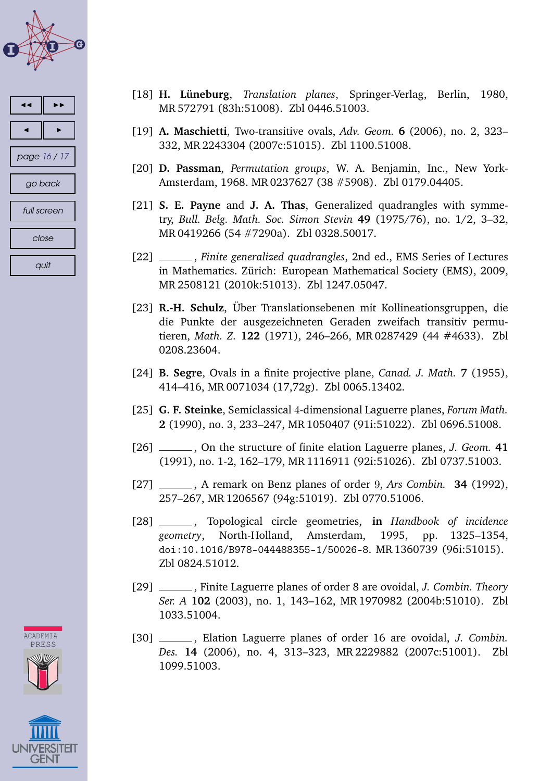<span id="page-15-0"></span>

| ◀           |              |  |
|-------------|--------------|--|
|             |              |  |
|             | page 16 / 17 |  |
| go back     |              |  |
| full screen |              |  |
| close       |              |  |
| quit        |              |  |





- [18] **H. Lüneburg**, *Translation planes*, Springer-Verlag, Berlin, 1980, [MR 572791 \(83h:51008\).](http://www.ams.org/mathscinet-getitem?mr=572791) [Zbl 0446.51003.](http://www.zentralblatt-math.org/NEW/zmath/en/search/?q=an:0446.51003&format=complete)
- [19] **A. Maschietti**, Two-transitive ovals, *Adv. Geom.* **6** (2006), no. 2, 323– 332, [MR 2243304 \(2007c:51015\).](http://www.ams.org/mathscinet-getitem?mr=2243304) [Zbl 1100.51008.](http://www.zentralblatt-math.org/NEW/zmath/en/search/?q=an:1100.51008&format=complete)
- [20] **D. Passman**, *Permutation groups*, W. A. Benjamin, Inc., New York-Amsterdam, 1968. [MR 0237627 \(38 #5908\).](http://www.ams.org/mathscinet-getitem?mr=0237627) [Zbl 0179.04405.](http://www.zentralblatt-math.org/NEW/zmath/en/search/?q=an:0179.04405&format=complete)
- [21] **S. E. Payne** and **J. A. Thas**, Generalized quadrangles with symmetry, *Bull. Belg. Math. Soc. Simon Stevin* **49** (1975/76), no. 1/2, 3–32, [MR 0419266 \(54 #7290a\).](http://www.ams.org/mathscinet-getitem?mr=0419266) [Zbl 0328.50017.](http://www.zentralblatt-math.org/NEW/zmath/en/search/?q=an:0328.50017&format=complete)
- [22] , *Finite generalized quadrangles*, 2nd ed., EMS Series of Lectures in Mathematics. Zürich: European Mathematical Society (EMS), 2009, [MR 2508121 \(2010k:51013\).](http://www.ams.org/mathscinet-getitem?mr=2508121) [Zbl 1247.05047.](http://www.zentralblatt-math.org/NEW/zmath/en/search/?q=an:1247.05047&format=complete)
- [23] **R.-H. Schulz**, Über Translationsebenen mit Kollineationsgruppen, die die Punkte der ausgezeichneten Geraden zweifach transitiv permutieren, *Math. Z.* **122** [\(1971\), 246–266,](http://www.zentralblatt-math.org/NEW/zmath/en/search/?q=an:0208.23604&format=complete) [MR 0287429 \(44 #4633\).](http://www.ams.org/mathscinet-getitem?mr=0287429) Zbl 0208.23604.
- [24] **B. Segre**, Ovals in a finite projective plane, *Canad. J. Math.* **7** (1955), 414–416, [MR 0071034 \(17,72g\).](http://www.ams.org/mathscinet-getitem?mr=0071034) [Zbl 0065.13402.](http://www.zentralblatt-math.org/NEW/zmath/en/search/?q=an:0065.13402&format=complete)
- [25] **G. F. Steinke**, Semiclassical 4-dimensional Laguerre planes, *Forum Math.* **2** (1990), no. 3, 233–247, [MR 1050407 \(91i:51022\).](http://www.ams.org/mathscinet-getitem?mr=1050407) [Zbl 0696.51008.](http://www.zentralblatt-math.org/NEW/zmath/en/search/?q=an:0696.51008&format=complete)
- [26] , On the structure of finite elation Laguerre planes, *J. Geom.* **41** (1991), no. 1-2, 162–179, [MR 1116911 \(92i:51026\).](http://www.ams.org/mathscinet-getitem?mr=1116911) [Zbl 0737.51003.](http://www.zentralblatt-math.org/NEW/zmath/en/search/?q=an:0737.51003&format=complete)
- [27] , A remark on Benz planes of order 9, *Ars Combin.* **34** (1992), 257–267, [MR 1206567 \(94g:51019\).](http://www.ams.org/mathscinet-getitem?mr=1206567) [Zbl 0770.51006.](http://www.zentralblatt-math.org/NEW/zmath/en/search/?q=an:0770.51006&format=complete)
- [28] , Topological circle geometries, **in** *Handbook of incidence geometry*, North-Holland, Amsterdam, 1995, pp. 1325–1354, [doi:10.1016/B978-044488355-1/50026-8](http://dx.doi.org/10.1016/B978-044488355-1/50026-8). [MR 1360739 \(96i:51015\).](http://www.ams.org/mathscinet-getitem?mr=1360739) [Zbl 0824.51012.](http://www.zentralblatt-math.org/NEW/zmath/en/search/?q=an:0824.51012&format=complete)
- [29] , Finite Laguerre planes of order 8 are ovoidal, *J. Combin. Theory Ser. A* **102** [\(2003\), no. 1, 143–162,](http://www.zentralblatt-math.org/NEW/zmath/en/search/?q=an:1033.51004&format=complete) [MR 1970982 \(2004b:51010\).](http://www.ams.org/mathscinet-getitem?mr=1970982) Zbl 1033.51004.
- [30] , Elation Laguerre planes of order 16 are ovoidal, *J. Combin. Des.* **14** (2[006\), no. 4, 313–323,](http://www.zentralblatt-math.org/NEW/zmath/en/search/?q=an:1099.51003&format=complete) [MR 2229882 \(2007c:51001\).](http://www.ams.org/mathscinet-getitem?mr=2229882) Zbl 1099.51003.